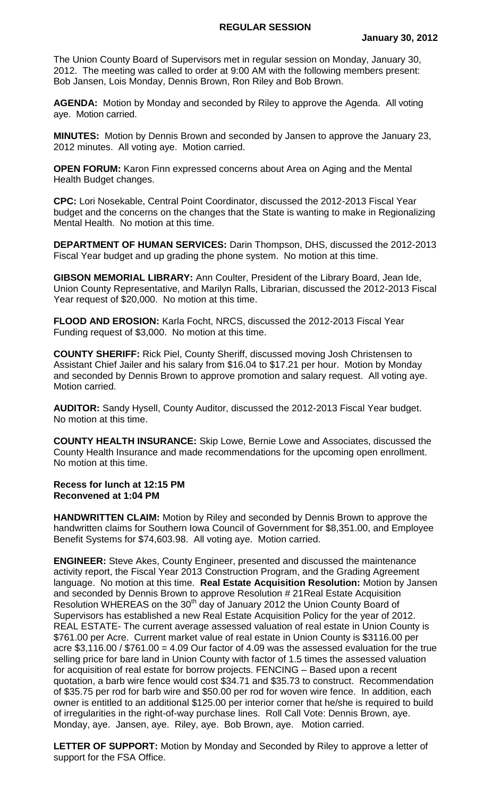The Union County Board of Supervisors met in regular session on Monday, January 30, 2012. The meeting was called to order at 9:00 AM with the following members present: Bob Jansen, Lois Monday, Dennis Brown, Ron Riley and Bob Brown.

**AGENDA:** Motion by Monday and seconded by Riley to approve the Agenda. All voting aye. Motion carried.

**MINUTES:** Motion by Dennis Brown and seconded by Jansen to approve the January 23, 2012 minutes. All voting aye. Motion carried.

**OPEN FORUM:** Karon Finn expressed concerns about Area on Aging and the Mental Health Budget changes.

**CPC:** Lori Nosekable, Central Point Coordinator, discussed the 2012-2013 Fiscal Year budget and the concerns on the changes that the State is wanting to make in Regionalizing Mental Health. No motion at this time.

**DEPARTMENT OF HUMAN SERVICES:** Darin Thompson, DHS, discussed the 2012-2013 Fiscal Year budget and up grading the phone system. No motion at this time.

**GIBSON MEMORIAL LIBRARY:** Ann Coulter, President of the Library Board, Jean Ide, Union County Representative, and Marilyn Ralls, Librarian, discussed the 2012-2013 Fiscal Year request of \$20,000. No motion at this time.

**FLOOD AND EROSION:** Karla Focht, NRCS, discussed the 2012-2013 Fiscal Year Funding request of \$3,000. No motion at this time.

**COUNTY SHERIFF:** Rick Piel, County Sheriff, discussed moving Josh Christensen to Assistant Chief Jailer and his salary from \$16.04 to \$17.21 per hour. Motion by Monday and seconded by Dennis Brown to approve promotion and salary request. All voting aye. Motion carried.

**AUDITOR:** Sandy Hysell, County Auditor, discussed the 2012-2013 Fiscal Year budget. No motion at this time.

**COUNTY HEALTH INSURANCE:** Skip Lowe, Bernie Lowe and Associates, discussed the County Health Insurance and made recommendations for the upcoming open enrollment. No motion at this time.

## **Recess for lunch at 12:15 PM Reconvened at 1:04 PM**

**HANDWRITTEN CLAIM:** Motion by Riley and seconded by Dennis Brown to approve the handwritten claims for Southern Iowa Council of Government for \$8,351.00, and Employee Benefit Systems for \$74,603.98. All voting aye. Motion carried.

**ENGINEER:** Steve Akes, County Engineer, presented and discussed the maintenance activity report, the Fiscal Year 2013 Construction Program, and the Grading Agreement language. No motion at this time. **Real Estate Acquisition Resolution:** Motion by Jansen and seconded by Dennis Brown to approve Resolution # 21Real Estate Acquisition Resolution WHEREAS on the 30<sup>th</sup> day of January 2012 the Union County Board of Supervisors has established a new Real Estate Acquisition Policy for the year of 2012. REAL ESTATE- The current average assessed valuation of real estate in Union County is \$761.00 per Acre. Current market value of real estate in Union County is \$3116.00 per acre  $$3,116.00 / $761.00 = 4.09$  Our factor of 4.09 was the assessed evaluation for the true selling price for bare land in Union County with factor of 1.5 times the assessed valuation for acquisition of real estate for borrow projects. FENCING – Based upon a recent quotation, a barb wire fence would cost \$34.71 and \$35.73 to construct. Recommendation of \$35.75 per rod for barb wire and \$50.00 per rod for woven wire fence. In addition, each owner is entitled to an additional \$125.00 per interior corner that he/she is required to build of irregularities in the right-of-way purchase lines. Roll Call Vote: Dennis Brown, aye. Monday, aye. Jansen, aye. Riley, aye. Bob Brown, aye. Motion carried.

**LETTER OF SUPPORT:** Motion by Monday and Seconded by Riley to approve a letter of support for the FSA Office.